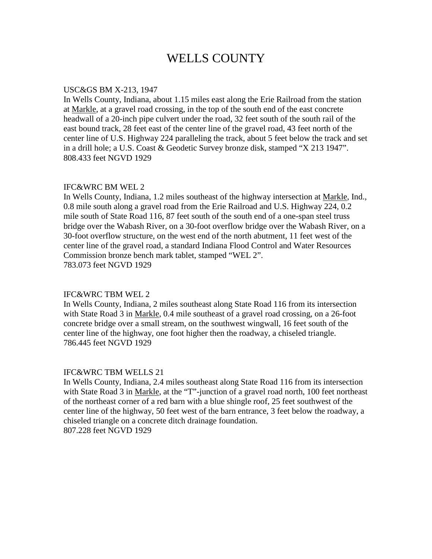# WELLS COUNTY

### USC&GS BM X-213, 1947

In Wells County, Indiana, about 1.15 miles east along the Erie Railroad from the station at Markle, at a gravel road crossing, in the top of the south end of the east concrete headwall of a 20-inch pipe culvert under the road, 32 feet south of the south rail of the east bound track, 28 feet east of the center line of the gravel road, 43 feet north of the center line of U.S. Highway 224 paralleling the track, about 5 feet below the track and set in a drill hole; a U.S. Coast & Geodetic Survey bronze disk, stamped "X 213 1947". 808.433 feet NGVD 1929

# IFC&WRC BM WEL 2

In Wells County, Indiana, 1.2 miles southeast of the highway intersection at Markle, Ind., 0.8 mile south along a gravel road from the Erie Railroad and U.S. Highway 224, 0.2 mile south of State Road 116, 87 feet south of the south end of a one-span steel truss bridge over the Wabash River, on a 30-foot overflow bridge over the Wabash River, on a 30-foot overflow structure, on the west end of the north abutment, 11 feet west of the center line of the gravel road, a standard Indiana Flood Control and Water Resources Commission bronze bench mark tablet, stamped "WEL 2". 783.073 feet NGVD 1929

#### IFC&WRC TBM WEL 2

In Wells County, Indiana, 2 miles southeast along State Road 116 from its intersection with State Road 3 in Markle, 0.4 mile southeast of a gravel road crossing, on a 26-foot concrete bridge over a small stream, on the southwest wingwall, 16 feet south of the center line of the highway, one foot higher then the roadway, a chiseled triangle. 786.445 feet NGVD 1929

#### IFC&WRC TBM WELLS 21

In Wells County, Indiana, 2.4 miles southeast along State Road 116 from its intersection with State Road 3 in Markle, at the "T"-junction of a gravel road north, 100 feet northeast of the northeast corner of a red barn with a blue shingle roof, 25 feet southwest of the center line of the highway, 50 feet west of the barn entrance, 3 feet below the roadway, a chiseled triangle on a concrete ditch drainage foundation. 807.228 feet NGVD 1929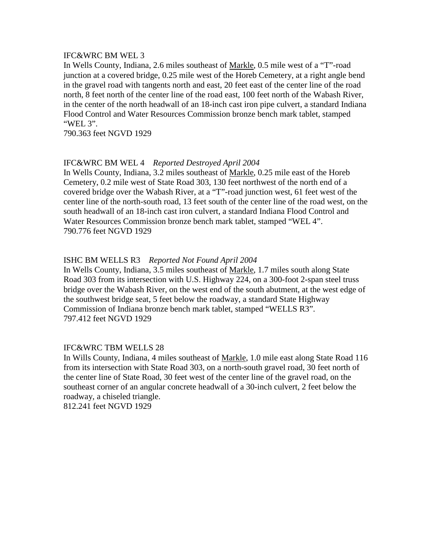### IFC&WRC BM WEL 3

In Wells County, Indiana, 2.6 miles southeast of Markle, 0.5 mile west of a "T"-road junction at a covered bridge, 0.25 mile west of the Horeb Cemetery, at a right angle bend in the gravel road with tangents north and east, 20 feet east of the center line of the road north, 8 feet north of the center line of the road east, 100 feet north of the Wabash River, in the center of the north headwall of an 18-inch cast iron pipe culvert, a standard Indiana Flood Control and Water Resources Commission bronze bench mark tablet, stamped "WEL 3".

790.363 feet NGVD 1929

# IFC&WRC BM WEL 4 *Reported Destroyed April 2004*

In Wells County, Indiana, 3.2 miles southeast of Markle, 0.25 mile east of the Horeb Cemetery, 0.2 mile west of State Road 303, 130 feet northwest of the north end of a covered bridge over the Wabash River, at a "T"-road junction west, 61 feet west of the center line of the north-south road, 13 feet south of the center line of the road west, on the south headwall of an 18-inch cast iron culvert, a standard Indiana Flood Control and Water Resources Commission bronze bench mark tablet, stamped "WEL 4". 790.776 feet NGVD 1929

# ISHC BM WELLS R3 *Reported Not Found April 2004*

In Wells County, Indiana, 3.5 miles southeast of Markle, 1.7 miles south along State Road 303 from its intersection with U.S. Highway 224, on a 300-foot 2-span steel truss bridge over the Wabash River, on the west end of the south abutment, at the west edge of the southwest bridge seat, 5 feet below the roadway, a standard State Highway Commission of Indiana bronze bench mark tablet, stamped "WELLS R3". 797.412 feet NGVD 1929

# IFC&WRC TBM WELLS 28

In Wills County, Indiana, 4 miles southeast of Markle, 1.0 mile east along State Road 116 from its intersection with State Road 303, on a north-south gravel road, 30 feet north of the center line of State Road, 30 feet west of the center line of the gravel road, on the southeast corner of an angular concrete headwall of a 30-inch culvert, 2 feet below the roadway, a chiseled triangle.

812.241 feet NGVD 1929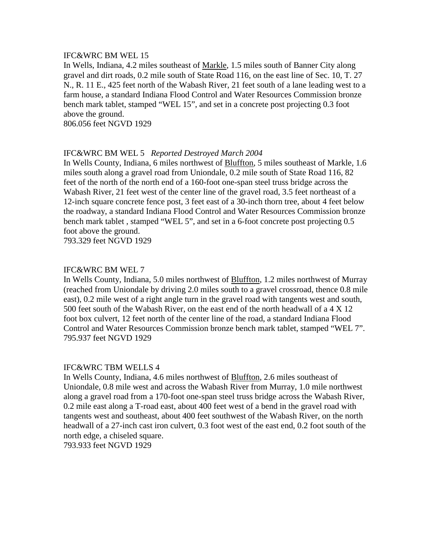### IFC&WRC BM WEL 15

In Wells, Indiana, 4.2 miles southeast of Markle, 1.5 miles south of Banner City along gravel and dirt roads, 0.2 mile south of State Road 116, on the east line of Sec. 10, T. 27 N., R. 11 E., 425 feet north of the Wabash River, 21 feet south of a lane leading west to a farm house, a standard Indiana Flood Control and Water Resources Commission bronze bench mark tablet, stamped "WEL 15", and set in a concrete post projecting 0.3 foot above the ground.

806.056 feet NGVD 1929

# IFC&WRC BM WEL 5 *Reported Destroyed March 2004*

In Wells County, Indiana, 6 miles northwest of Bluffton, 5 miles southeast of Markle, 1.6 miles south along a gravel road from Uniondale, 0.2 mile south of State Road 116, 82 feet of the north of the north end of a 160-foot one-span steel truss bridge across the Wabash River, 21 feet west of the center line of the gravel road, 3.5 feet northeast of a 12-inch square concrete fence post, 3 feet east of a 30-inch thorn tree, about 4 feet below the roadway, a standard Indiana Flood Control and Water Resources Commission bronze bench mark tablet , stamped "WEL 5", and set in a 6-foot concrete post projecting 0.5 foot above the ground.

793.329 feet NGVD 1929

# IFC&WRC BM WEL 7

In Wells County, Indiana, 5.0 miles northwest of Bluffton, 1.2 miles northwest of Murray (reached from Uniondale by driving 2.0 miles south to a gravel crossroad, thence 0.8 mile east), 0.2 mile west of a right angle turn in the gravel road with tangents west and south, 500 feet south of the Wabash River, on the east end of the north headwall of a 4 X 12 foot box culvert, 12 feet north of the center line of the road, a standard Indiana Flood Control and Water Resources Commission bronze bench mark tablet, stamped "WEL 7". 795.937 feet NGVD 1929

# IFC&WRC TBM WELLS 4

In Wells County, Indiana, 4.6 miles northwest of Bluffton, 2.6 miles southeast of Uniondale, 0.8 mile west and across the Wabash River from Murray, 1.0 mile northwest along a gravel road from a 170-foot one-span steel truss bridge across the Wabash River, 0.2 mile east along a T-road east, about 400 feet west of a bend in the gravel road with tangents west and southeast, about 400 feet southwest of the Wabash River, on the north headwall of a 27-inch cast iron culvert, 0.3 foot west of the east end, 0.2 foot south of the north edge, a chiseled square.

793.933 feet NGVD 1929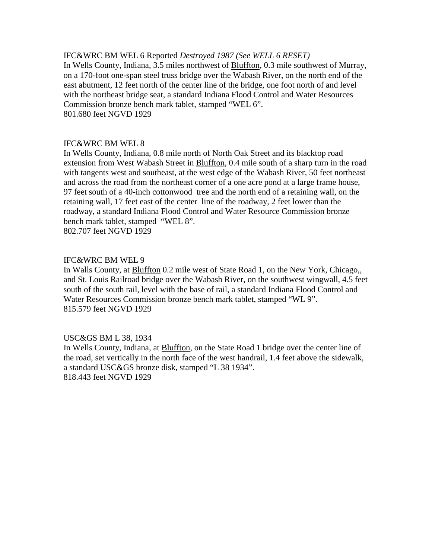# IFC&WRC BM WEL 6 Reported *Destroyed 1987 (See WELL 6 RESET)*

In Wells County, Indiana, 3.5 miles northwest of Bluffton, 0.3 mile southwest of Murray, on a 170-foot one-span steel truss bridge over the Wabash River, on the north end of the east abutment, 12 feet north of the center line of the bridge, one foot north of and level with the northeast bridge seat, a standard Indiana Flood Control and Water Resources Commission bronze bench mark tablet, stamped "WEL 6". 801.680 feet NGVD 1929

# IFC&WRC BM WEL 8

In Wells County, Indiana, 0.8 mile north of North Oak Street and its blacktop road extension from West Wabash Street in **Bluffton**, 0.4 mile south of a sharp turn in the road with tangents west and southeast, at the west edge of the Wabash River, 50 feet northeast and across the road from the northeast corner of a one acre pond at a large frame house, 97 feet south of a 40-inch cottonwood tree and the north end of a retaining wall, on the retaining wall, 17 feet east of the center line of the roadway, 2 feet lower than the roadway, a standard Indiana Flood Control and Water Resource Commission bronze bench mark tablet, stamped "WEL 8".

802.707 feet NGVD 1929

# IFC&WRC BM WEL 9

In Walls County, at Bluffton 0.2 mile west of State Road 1, on the New York, Chicago,, and St. Louis Railroad bridge over the Wabash River, on the southwest wingwall, 4.5 feet south of the south rail, level with the base of rail, a standard Indiana Flood Control and Water Resources Commission bronze bench mark tablet, stamped "WL 9". 815.579 feet NGVD 1929

# USC&GS BM L 38, 1934

In Wells County, Indiana, at Bluffton, on the State Road 1 bridge over the center line of the road, set vertically in the north face of the west handrail, 1.4 feet above the sidewalk, a standard USC&GS bronze disk, stamped "L 38 1934". 818.443 feet NGVD 1929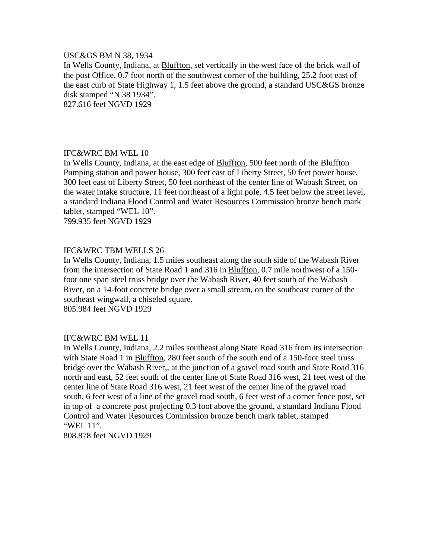### USC&GS BM N 38, 1934

In Wells County, Indiana, at Bluffton, set vertically in the west face of the brick wall of the post Office, 0.7 foot north of the southwest corner of the building, 25.2 foot east of the east curb of State Highway 1, 1.5 feet above the ground, a standard USC&GS bronze disk stamped "N 38 1934".

827.616 feet NGVD 1929

# IFC&WRC BM WEL 10

In Wells County, Indiana, at the east edge of **Bluffton**, 500 feet north of the Bluffton Pumping station and power house, 300 feet east of Liberty Street, 50 feet power house, 300 feet east of Liberty Street, 50 feet northeast of the center line of Wabash Street, on the water intake structure, 11 feet northeast of a light pole, 4.5 feet below the street level, a standard Indiana Flood Control and Water Resources Commission bronze bench mark tablet, stamped "WEL 10".

799.935 feet NGVD 1929

#### IFC&WRC TBM WELLS 26

In Wells County, Indiana, 1.5 miles southeast along the south side of the Wabash River from the intersection of State Road 1 and 316 in Bluffton, 0.7 mile northwest of a 150 foot one span steel truss bridge over the Wabash River, 40 feet south of the Wabash River, on a 14-foot concrete bridge over a small stream, on the southeast corner of the southeast wingwall, a chiseled square.

805.984 feet NGVD 1929

#### IFC&WRC BM WEL 11

In Wells County, Indiana, 2.2 miles southeast along State Road 316 from its intersection with State Road 1 in Bluffton, 280 feet south of the south end of a 150-foot steel truss bridge over the Wabash River,, at the junction of a gravel road south and State Road 316 north and east, 52 feet south of the center line of State Road 316 west, 21 feet west of the center line of State Road 316 west, 21 feet west of the center line of the gravel road south, 6 feet west of a line of the gravel road south, 6 feet west of a corner fence post, set in top of a concrete post projecting 0.3 foot above the ground, a standard Indiana Flood Control and Water Resources Commission bronze bench mark tablet, stamped "WEL 11".

808.878 feet NGVD 1929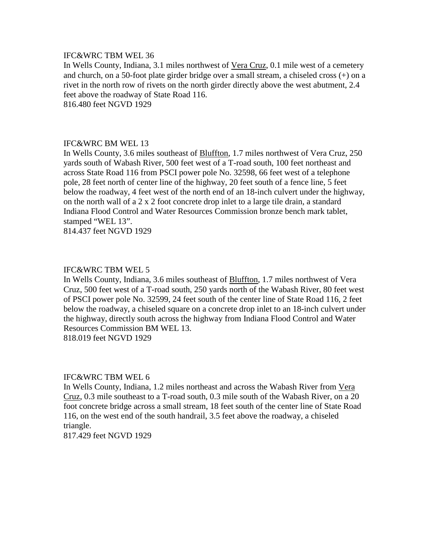# IFC&WRC TBM WEL 36

In Wells County, Indiana, 3.1 miles northwest of Vera Cruz, 0.1 mile west of a cemetery and church, on a 50-foot plate girder bridge over a small stream, a chiseled cross (+) on a rivet in the north row of rivets on the north girder directly above the west abutment, 2.4 feet above the roadway of State Road 116. 816.480 feet NGVD 1929

#### IFC&WRC BM WEL 13

In Wells County, 3.6 miles southeast of Bluffton, 1.7 miles northwest of Vera Cruz, 250 yards south of Wabash River, 500 feet west of a T-road south, 100 feet northeast and across State Road 116 from PSCI power pole No. 32598, 66 feet west of a telephone pole, 28 feet north of center line of the highway, 20 feet south of a fence line, 5 feet below the roadway, 4 feet west of the north end of an 18-inch culvert under the highway, on the north wall of a 2 x 2 foot concrete drop inlet to a large tile drain, a standard Indiana Flood Control and Water Resources Commission bronze bench mark tablet, stamped "WEL 13".

814.437 feet NGVD 1929

#### IFC&WRC TBM WEL 5

In Wells County, Indiana, 3.6 miles southeast of Bluffton, 1.7 miles northwest of Vera Cruz, 500 feet west of a T-road south, 250 yards north of the Wabash River, 80 feet west of PSCI power pole No. 32599, 24 feet south of the center line of State Road 116, 2 feet below the roadway, a chiseled square on a concrete drop inlet to an 18-inch culvert under the highway, directly south across the highway from Indiana Flood Control and Water Resources Commission BM WEL 13.

818.019 feet NGVD 1929

# IFC&WRC TBM WEL 6

In Wells County, Indiana, 1.2 miles northeast and across the Wabash River from Vera Cruz, 0.3 mile southeast to a T-road south, 0.3 mile south of the Wabash River, on a 20 foot concrete bridge across a small stream, 18 feet south of the center line of State Road 116, on the west end of the south handrail, 3.5 feet above the roadway, a chiseled triangle.

817.429 feet NGVD 1929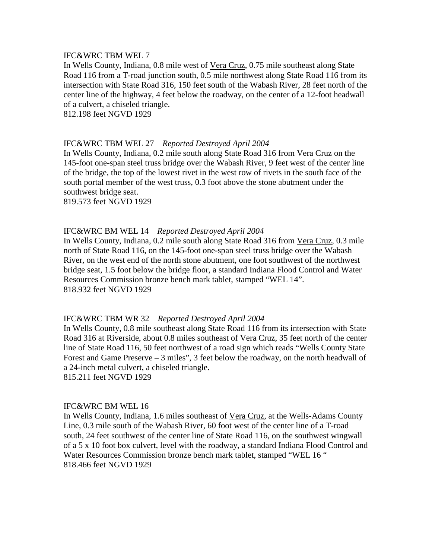# IFC&WRC TBM WEL 7

In Wells County, Indiana, 0.8 mile west of Vera Cruz, 0.75 mile southeast along State Road 116 from a T-road junction south, 0.5 mile northwest along State Road 116 from its intersection with State Road 316, 150 feet south of the Wabash River, 28 feet north of the center line of the highway, 4 feet below the roadway, on the center of a 12-foot headwall of a culvert, a chiseled triangle.

812.198 feet NGVD 1929

#### IFC&WRC TBM WEL 27 *Reported Destroyed April 2004*

In Wells County, Indiana, 0.2 mile south along State Road 316 from Vera Cruz on the 145-foot one-span steel truss bridge over the Wabash River, 9 feet west of the center line of the bridge, the top of the lowest rivet in the west row of rivets in the south face of the south portal member of the west truss, 0.3 foot above the stone abutment under the southwest bridge seat.

819.573 feet NGVD 1929

# IFC&WRC BM WEL 14 *Reported Destroyed April 2004*

In Wells County, Indiana, 0.2 mile south along State Road 316 from Vera Cruz, 0.3 mile north of State Road 116, on the 145-foot one-span steel truss bridge over the Wabash River, on the west end of the north stone abutment, one foot southwest of the northwest bridge seat, 1.5 foot below the bridge floor, a standard Indiana Flood Control and Water Resources Commission bronze bench mark tablet, stamped "WEL 14". 818.932 feet NGVD 1929

#### IFC&WRC TBM WR 32 *Reported Destroyed April 2004*

In Wells County, 0.8 mile southeast along State Road 116 from its intersection with State Road 316 at Riverside, about 0.8 miles southeast of Vera Cruz, 35 feet north of the center line of State Road 116, 50 feet northwest of a road sign which reads "Wells County State Forest and Game Preserve – 3 miles", 3 feet below the roadway, on the north headwall of a 24-inch metal culvert, a chiseled triangle.

815.211 feet NGVD 1929

#### IFC&WRC BM WEL 16

In Wells County, Indiana, 1.6 miles southeast of Vera Cruz, at the Wells-Adams County Line, 0.3 mile south of the Wabash River, 60 foot west of the center line of a T-road south, 24 feet southwest of the center line of State Road 116, on the southwest wingwall of a 5 x 10 foot box culvert, level with the roadway, a standard Indiana Flood Control and Water Resources Commission bronze bench mark tablet, stamped "WEL 16 " 818.466 feet NGVD 1929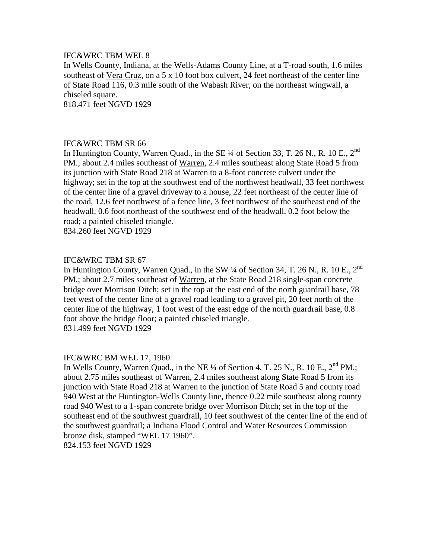# IFC&WRC TBM WEL 8

In Wells County, Indiana, at the Wells-Adams County Line, at a T-road south, 1.6 miles southeast of Vera Cruz, on a 5 x 10 foot box culvert, 24 feet northeast of the center line of State Road 116, 0.3 mile south of the Wabash River, on the northeast wingwall, a chiseled square.

818.471 feet NGVD 1929

#### IFC&WRC TBM SR 66

In Huntington County, Warren Quad., in the SE  $\frac{1}{4}$  of Section 33, T. 26 N., R. 10 E., 2<sup>nd</sup> PM.; about 2.4 miles southeast of Warren, 2.4 miles southeast along State Road 5 from its junction with State Road 218 at Warren to a 8-foot concrete culvert under the highway; set in the top at the southwest end of the northwest headwall, 33 feet northwest of the center line of a gravel driveway to a house, 22 feet northeast of the center line of the road, 12.6 feet northwest of a fence line, 3 feet northwest of the southeast end of the headwall, 0.6 foot northeast of the southwest end of the headwall, 0.2 foot below the road; a painted chiseled triangle.

834.260 feet NGVD 1929

# IFC&WRC TBM SR 67

In Huntington County, Warren Quad., in the SW  $\frac{1}{4}$  of Section 34, T. 26 N., R. 10 E., 2<sup>nd</sup> PM.; about 2.7 miles southeast of Warren, at the State Road 218 single-span concrete bridge over Morrison Ditch; set in the top at the east end of the north guardrail base, 78 feet west of the center line of a gravel road leading to a gravel pit, 20 feet north of the center line of the highway, 1 foot west of the east edge of the north guardrail base, 0.8 foot above the bridge floor; a painted chiseled triangle. 831.499 feet NGVD 1929

#### IFC&WRC BM WEL 17, 1960

In Wells County, Warren Quad., in the NE <sup>1/4</sup> of Section 4, T. 25 N., R. 10 E., 2<sup>nd</sup> PM.: about 2.75 miles southeast of Warren, 2.4 miles southeast along State Road 5 from its junction with State Road 218 at Warren to the junction of State Road 5 and county road 940 West at the Huntington-Wells County line, thence 0.22 mile southeast along county road 940 West to a 1-span concrete bridge over Morrison Ditch; set in the top of the southeast end of the southwest guardrail, 10 feet southwest of the center line of the end of the southwest guardrail; a Indiana Flood Control and Water Resources Commission bronze disk, stamped "WEL 17 1960".

824.153 feet NGVD 1929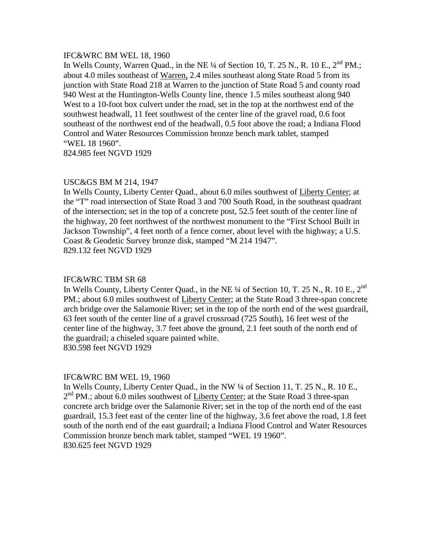#### IFC&WRC BM WEL 18, 1960

In Wells County, Warren Quad., in the NE  $\frac{1}{4}$  of Section 10, T. 25 N., R. 10 E.,  $2^{nd}$  PM.; about 4.0 miles southeast of Warren, 2.4 miles southeast along State Road 5 from its junction with State Road 218 at Warren to the junction of State Road 5 and county road 940 West at the Huntington-Wells County line, thence 1.5 miles southeast along 940 West to a 10-foot box culvert under the road, set in the top at the northwest end of the southwest headwall, 11 feet southwest of the center line of the gravel road, 0.6 foot southeast of the northwest end of the headwall, 0.5 foot above the road; a Indiana Flood Control and Water Resources Commission bronze bench mark tablet, stamped "WEL 18 1960".

824.985 feet NGVD 1929

#### USC&GS BM M 214, 1947

In Wells County, Liberty Center Quad., about 6.0 miles southwest of Liberty Center; at the "T" road intersection of State Road 3 and 700 South Road, in the southeast quadrant of the intersection; set in the top of a concrete post, 52.5 feet south of the center line of the highway, 20 feet northwest of the northwest monument to the "First School Built in Jackson Township", 4 feet north of a fence corner, about level with the highway; a U.S. Coast & Geodetic Survey bronze disk, stamped "M 214 1947". 829.132 feet NGVD 1929

#### IFC&WRC TBM SR 68

In Wells County, Liberty Center Quad., in the NE <sup>1</sup>/4 of Section 10, T. 25 N., R. 10 E., 2<sup>nd</sup> PM.; about 6.0 miles southwest of Liberty Center; at the State Road 3 three-span concrete arch bridge over the Salamonie River; set in the top of the north end of the west guardrail, 63 feet south of the center line of a gravel crossroad (725 South), 16 feet west of the center line of the highway, 3.7 feet above the ground, 2.1 feet south of the north end of the guardrail; a chiseled square painted white. 830.598 feet NGVD 1929

#### IFC&WRC BM WEL 19, 1960

In Wells County, Liberty Center Quad., in the NW ¼ of Section 11, T. 25 N., R. 10 E.,  $2<sup>nd</sup> PM$ ; about 6.0 miles southwest of Liberty Center; at the State Road 3 three-span concrete arch bridge over the Salamonie River; set in the top of the north end of the east guardrail, 15.3 feet east of the center line of the highway, 3.6 feet above the road, 1.8 feet south of the north end of the east guardrail; a Indiana Flood Control and Water Resources Commission bronze bench mark tablet, stamped "WEL 19 1960". 830.625 feet NGVD 1929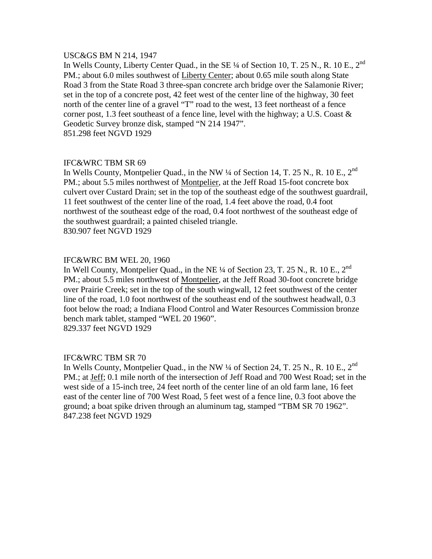#### USC&GS BM N 214, 1947

In Wells County, Liberty Center Quad., in the SE 1/4 of Section 10, T. 25 N., R. 10 E., 2<sup>nd</sup> PM.; about 6.0 miles southwest of Liberty Center; about 0.65 mile south along State Road 3 from the State Road 3 three-span concrete arch bridge over the Salamonie River; set in the top of a concrete post, 42 feet west of the center line of the highway, 30 feet north of the center line of a gravel "T" road to the west, 13 feet northeast of a fence corner post, 1.3 feet southeast of a fence line, level with the highway; a U.S. Coast  $\&$ Geodetic Survey bronze disk, stamped "N 214 1947". 851.298 feet NGVD 1929

# IFC&WRC TBM SR 69

In Wells County, Montpelier Quad., in the NW 1/4 of Section 14, T. 25 N., R. 10 E., 2<sup>nd</sup> PM.; about 5.5 miles northwest of Montpelier, at the Jeff Road 15-foot concrete box culvert over Custard Drain; set in the top of the southeast edge of the southwest guardrail, 11 feet southwest of the center line of the road, 1.4 feet above the road, 0.4 foot northwest of the southeast edge of the road, 0.4 foot northwest of the southeast edge of the southwest guardrail; a painted chiseled triangle. 830.907 feet NGVD 1929

# IFC&WRC BM WEL 20, 1960

In Well County, Montpelier Quad., in the NE  $\frac{1}{4}$  of Section 23, T. 25 N., R. 10 E., 2<sup>nd</sup> PM.; about 5.5 miles northwest of Montpelier, at the Jeff Road 30-foot concrete bridge over Prairie Creek; set in the top of the south wingwall, 12 feet southwest of the center line of the road, 1.0 foot northwest of the southeast end of the southwest headwall, 0.3 foot below the road; a Indiana Flood Control and Water Resources Commission bronze bench mark tablet, stamped "WEL 20 1960". 829.337 feet NGVD 1929

# IFC&WRC TBM SR 70

In Wells County, Montpelier Quad., in the NW 1/4 of Section 24, T. 25 N., R. 10 E., 2<sup>nd</sup> PM.; at Jeff; 0.1 mile north of the intersection of Jeff Road and 700 West Road; set in the west side of a 15-inch tree, 24 feet north of the center line of an old farm lane, 16 feet east of the center line of 700 West Road, 5 feet west of a fence line, 0.3 foot above the ground; a boat spike driven through an aluminum tag, stamped "TBM SR 70 1962". 847.238 feet NGVD 1929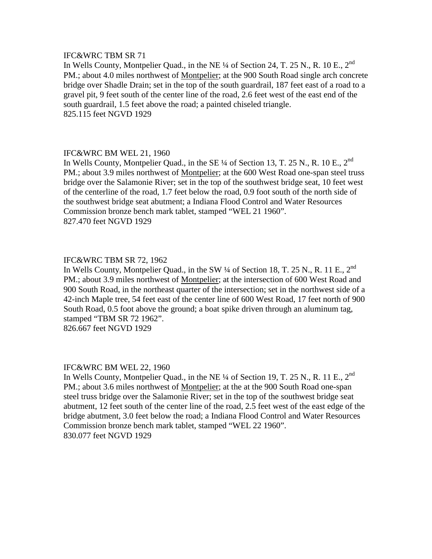# IFC&WRC TBM SR 71

In Wells County, Montpelier Quad., in the NE 1/4 of Section 24, T. 25 N., R. 10 E., 2<sup>nd</sup> PM.; about 4.0 miles northwest of Montpelier; at the 900 South Road single arch concrete bridge over Shadle Drain; set in the top of the south guardrail, 187 feet east of a road to a gravel pit, 9 feet south of the center line of the road, 2.6 feet west of the east end of the south guardrail, 1.5 feet above the road; a painted chiseled triangle. 825.115 feet NGVD 1929

#### IFC&WRC BM WEL 21, 1960

In Wells County, Montpelier Quad., in the SE  $\frac{1}{4}$  of Section 13, T. 25 N., R. 10 E., 2<sup>nd</sup> PM.; about 3.9 miles northwest of Montpelier; at the 600 West Road one-span steel truss bridge over the Salamonie River; set in the top of the southwest bridge seat, 10 feet west of the centerline of the road, 1.7 feet below the road, 0.9 foot south of the north side of the southwest bridge seat abutment; a Indiana Flood Control and Water Resources Commission bronze bench mark tablet, stamped "WEL 21 1960". 827.470 feet NGVD 1929

# IFC&WRC TBM SR 72, 1962

In Wells County, Montpelier Quad., in the SW  $\frac{1}{4}$  of Section 18, T. 25 N., R. 11 E., 2<sup>nd</sup> PM.; about 3.9 miles northwest of Montpelier; at the intersection of 600 West Road and 900 South Road, in the northeast quarter of the intersection; set in the northwest side of a 42-inch Maple tree, 54 feet east of the center line of 600 West Road, 17 feet north of 900 South Road, 0.5 foot above the ground; a boat spike driven through an aluminum tag, stamped "TBM SR 72 1962".

826.667 feet NGVD 1929

#### IFC&WRC BM WEL 22, 1960

In Wells County, Montpelier Quad., in the NE ¼ of Section 19, T. 25 N., R. 11 E., 2<sup>nd</sup> PM.; about 3.6 miles northwest of Montpelier; at the at the 900 South Road one-span steel truss bridge over the Salamonie River; set in the top of the southwest bridge seat abutment, 12 feet south of the center line of the road, 2.5 feet west of the east edge of the bridge abutment, 3.0 feet below the road; a Indiana Flood Control and Water Resources Commission bronze bench mark tablet, stamped "WEL 22 1960". 830.077 feet NGVD 1929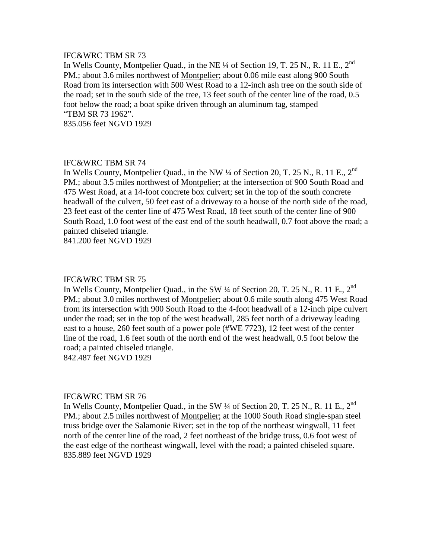# IFC&WRC TBM SR 73

In Wells County, Montpelier Quad., in the NE ¼ of Section 19, T. 25 N., R. 11 E., 2<sup>nd</sup> PM.; about 3.6 miles northwest of Montpelier; about 0.06 mile east along 900 South Road from its intersection with 500 West Road to a 12-inch ash tree on the south side of the road; set in the south side of the tree, 13 feet south of the center line of the road, 0.5 foot below the road; a boat spike driven through an aluminum tag, stamped "TBM SR 73 1962". 835.056 feet NGVD 1929

IFC&WRC TBM SR 74

In Wells County, Montpelier Quad., in the NW 1/4 of Section 20, T. 25 N., R. 11 E., 2<sup>nd</sup> PM.; about 3.5 miles northwest of Montpelier; at the intersection of 900 South Road and 475 West Road, at a 14-foot concrete box culvert; set in the top of the south concrete headwall of the culvert, 50 feet east of a driveway to a house of the north side of the road, 23 feet east of the center line of 475 West Road, 18 feet south of the center line of 900 South Road, 1.0 foot west of the east end of the south headwall, 0.7 foot above the road; a painted chiseled triangle.

841.200 feet NGVD 1929

#### IFC&WRC TBM SR 75

In Wells County, Montpelier Quad., in the SW 1/4 of Section 20, T. 25 N., R. 11 E., 2<sup>nd</sup> PM.; about 3.0 miles northwest of Montpelier; about 0.6 mile south along 475 West Road from its intersection with 900 South Road to the 4-foot headwall of a 12-inch pipe culvert under the road; set in the top of the west headwall, 285 feet north of a driveway leading east to a house, 260 feet south of a power pole (#WE 7723), 12 feet west of the center line of the road, 1.6 feet south of the north end of the west headwall, 0.5 foot below the road; a painted chiseled triangle.

842.487 feet NGVD 1929

#### IFC&WRC TBM SR 76

In Wells County, Montpelier Quad., in the SW  $\frac{1}{4}$  of Section 20, T. 25 N., R. 11 E., 2<sup>nd</sup> PM.; about 2.5 miles northwest of Montpelier; at the 1000 South Road single-span steel truss bridge over the Salamonie River; set in the top of the northeast wingwall, 11 feet north of the center line of the road, 2 feet northeast of the bridge truss, 0.6 foot west of the east edge of the northeast wingwall, level with the road; a painted chiseled square. 835.889 feet NGVD 1929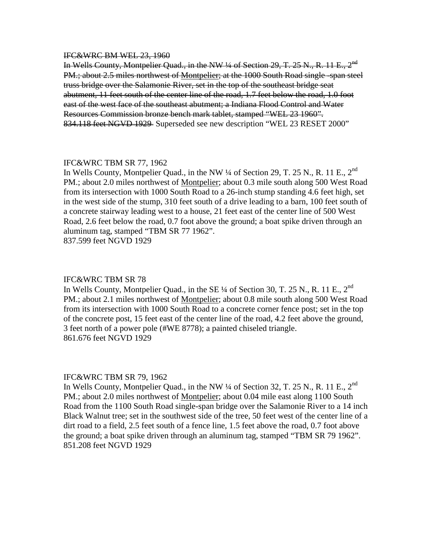#### IFC&WRC BM WEL 23, 1960

In Wells County, Montpelier Quad., in the NW  $\frac{1}{4}$  of Section 29, T. 25 N., R. 11 E., 2<sup>nd</sup> PM.; about 2.5 miles northwest of Montpelier; at the 1000 South Road single -span steel truss bridge over the Salamonie River, set in the top of the southeast bridge seat abutment, 11 feet south of the center line of the road, 1.7 feet below the road, 1.0 foot east of the west face of the southeast abutment; a Indiana Flood Control and Water Resources Commission bronze bench mark tablet, stamped "WEL 23 1960". 834.118 feet NGVD 1929 Superseded see new description "WEL 23 RESET 2000"

# IFC&WRC TBM SR 77, 1962

In Wells County, Montpelier Quad., in the NW ¼ of Section 29, T. 25 N., R. 11 E., 2<sup>nd</sup> PM.; about 2.0 miles northwest of Montpelier; about 0.3 mile south along 500 West Road from its intersection with 1000 South Road to a 26-inch stump standing 4.6 feet high, set in the west side of the stump, 310 feet south of a drive leading to a barn, 100 feet south of a concrete stairway leading west to a house, 21 feet east of the center line of 500 West Road, 2.6 feet below the road, 0.7 foot above the ground; a boat spike driven through an aluminum tag, stamped "TBM SR 77 1962". 837.599 feet NGVD 1929

IFC&WRC TBM SR 78 In Wells County, Montpelier Quad., in the SE 1/4 of Section 30, T. 25 N., R. 11 E., 2<sup>nd</sup> PM.; about 2.1 miles northwest of Montpelier; about 0.8 mile south along 500 West Road from its intersection with 1000 South Road to a concrete corner fence post; set in the top of the concrete post, 15 feet east of the center line of the road, 4.2 feet above the ground, 3 feet north of a power pole (#WE 8778); a painted chiseled triangle. 861.676 feet NGVD 1929

#### IFC&WRC TBM SR 79, 1962

In Wells County, Montpelier Quad., in the NW  $\frac{1}{4}$  of Section 32, T. 25 N., R. 11 E., 2<sup>nd</sup> PM.; about 2.0 miles northwest of Montpelier; about 0.04 mile east along 1100 South Road from the 1100 South Road single-span bridge over the Salamonie River to a 14 inch Black Walnut tree; set in the southwest side of the tree, 50 feet west of the center line of a dirt road to a field, 2.5 feet south of a fence line, 1.5 feet above the road, 0.7 foot above the ground; a boat spike driven through an aluminum tag, stamped "TBM SR 79 1962". 851.208 feet NGVD 1929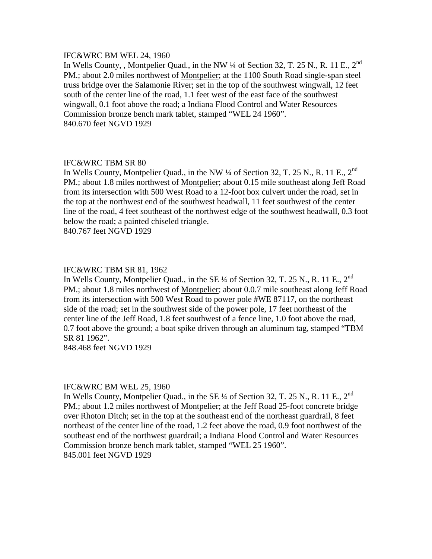#### IFC&WRC BM WEL 24, 1960

In Wells County, , Montpelier Quad., in the NW ¼ of Section 32, T. 25 N., R. 11 E., 2<sup>nd</sup> PM.; about 2.0 miles northwest of Montpelier; at the 1100 South Road single-span steel truss bridge over the Salamonie River; set in the top of the southwest wingwall, 12 feet south of the center line of the road, 1.1 feet west of the east face of the southwest wingwall, 0.1 foot above the road; a Indiana Flood Control and Water Resources Commission bronze bench mark tablet, stamped "WEL 24 1960". 840.670 feet NGVD 1929

# IFC&WRC TBM SR 80

In Wells County, Montpelier Quad., in the NW 1/4 of Section 32, T. 25 N., R. 11 E., 2<sup>nd</sup> PM.; about 1.8 miles northwest of Montpelier; about 0.15 mile southeast along Jeff Road from its intersection with 500 West Road to a 12-foot box culvert under the road, set in the top at the northwest end of the southwest headwall, 11 feet southwest of the center line of the road, 4 feet southeast of the northwest edge of the southwest headwall, 0.3 foot below the road; a painted chiseled triangle.

840.767 feet NGVD 1929

#### IFC&WRC TBM SR 81, 1962

In Wells County, Montpelier Quad., in the SE 1/4 of Section 32, T. 25 N., R. 11 E., 2<sup>nd</sup> PM.; about 1.8 miles northwest of Montpelier; about 0.0.7 mile southeast along Jeff Road from its intersection with 500 West Road to power pole #WE 87117, on the northeast side of the road; set in the southwest side of the power pole, 17 feet northeast of the center line of the Jeff Road, 1.8 feet southwest of a fence line, 1.0 foot above the road, 0.7 foot above the ground; a boat spike driven through an aluminum tag, stamped "TBM SR 81 1962".

848.468 feet NGVD 1929

#### IFC&WRC BM WEL 25, 1960

In Wells County, Montpelier Quad., in the SE  $\frac{1}{4}$  of Section 32, T. 25 N., R. 11 E., 2<sup>nd</sup> PM.; about 1.2 miles northwest of Montpelier; at the Jeff Road 25-foot concrete bridge over Rhoton Ditch; set in the top at the southeast end of the northeast guardrail, 8 feet northeast of the center line of the road, 1.2 feet above the road, 0.9 foot northwest of the southeast end of the northwest guardrail; a Indiana Flood Control and Water Resources Commission bronze bench mark tablet, stamped "WEL 25 1960". 845.001 feet NGVD 1929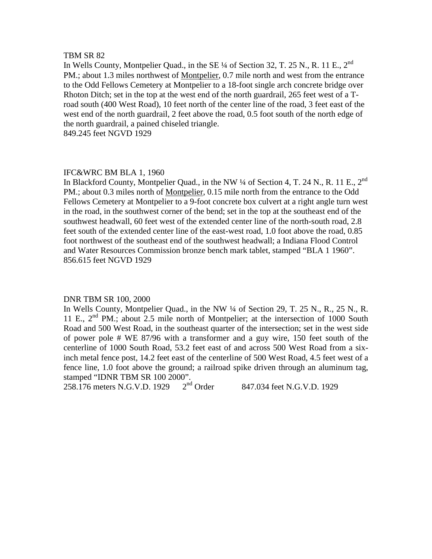#### TBM SR 82

In Wells County, Montpelier Quad., in the SE 1/4 of Section 32, T. 25 N., R. 11 E., 2<sup>nd</sup> PM.; about 1.3 miles northwest of Montpelier, 0.7 mile north and west from the entrance to the Odd Fellows Cemetery at Montpelier to a 18-foot single arch concrete bridge over Rhoton Ditch; set in the top at the west end of the north guardrail, 265 feet west of a Troad south (400 West Road), 10 feet north of the center line of the road, 3 feet east of the west end of the north guardrail, 2 feet above the road, 0.5 foot south of the north edge of the north guardrail, a pained chiseled triangle.

849.245 feet NGVD 1929

#### IFC&WRC BM BLA 1, 1960

In Blackford County, Montpelier Quad., in the NW  $\frac{1}{4}$  of Section 4, T. 24 N., R. 11 E., 2<sup>nd</sup> PM.; about 0.3 miles north of Montpelier, 0.15 mile north from the entrance to the Odd Fellows Cemetery at Montpelier to a 9-foot concrete box culvert at a right angle turn west in the road, in the southwest corner of the bend; set in the top at the southeast end of the southwest headwall, 60 feet west of the extended center line of the north-south road, 2.8 feet south of the extended center line of the east-west road, 1.0 foot above the road, 0.85 foot northwest of the southeast end of the southwest headwall; a Indiana Flood Control and Water Resources Commission bronze bench mark tablet, stamped "BLA 1 1960". 856.615 feet NGVD 1929

#### DNR TBM SR 100, 2000

In Wells County, Montpelier Quad., in the NW ¼ of Section 29, T. 25 N., R., 25 N., R. 11 E., 2<sup>nd</sup> PM.; about 2.5 mile north of Montpelier; at the intersection of 1000 South Road and 500 West Road, in the southeast quarter of the intersection; set in the west side of power pole # WE 87/96 with a transformer and a guy wire, 150 feet south of the centerline of 1000 South Road, 53.2 feet east of and across 500 West Road from a sixinch metal fence post, 14.2 feet east of the centerline of 500 West Road, 4.5 feet west of a fence line, 1.0 foot above the ground; a railroad spike driven through an aluminum tag, stamped "IDNR TBM SR 100 2000".<br>258.176 meters N.G.V.D. 1929 2<sup>nd</sup> Order

258.176 meters N.G.V.D. 1929  $2^{nd}$  Order 847.034 feet N.G.V.D. 1929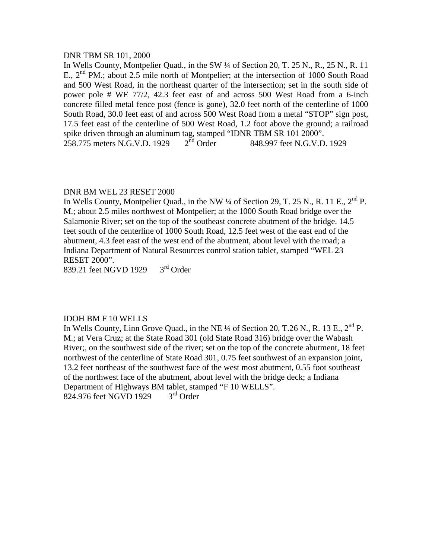#### DNR TBM SR 101, 2000

In Wells County, Montpelier Quad., in the SW ¼ of Section 20, T. 25 N., R., 25 N., R. 11 E., 2<sup>nd</sup> PM.; about 2.5 mile north of Montpelier; at the intersection of 1000 South Road and 500 West Road, in the northeast quarter of the intersection; set in the south side of power pole # WE 77/2, 42.3 feet east of and across 500 West Road from a 6-inch concrete filled metal fence post (fence is gone), 32.0 feet north of the centerline of 1000 South Road, 30.0 feet east of and across 500 West Road from a metal "STOP" sign post, 17.5 feet east of the centerline of 500 West Road, 1.2 foot above the ground; a railroad spike driven through an aluminum tag, stamped "IDNR TBM SR 101 2000".<br>258.775 meters N.G.V.D. 1929  $2<sup>nd</sup>$  Order 848.997 feet N.G.V.D. 1929 258.775 meters N.G.V.D. 1929

# DNR BM WEL 23 RESET 2000

In Wells County, Montpelier Quad., in the NW  $\frac{1}{4}$  of Section 29, T. 25 N., R. 11 E.,  $2^{nd}$  P. M.; about 2.5 miles northwest of Montpelier; at the 1000 South Road bridge over the Salamonie River; set on the top of the southeast concrete abutment of the bridge. 14.5 feet south of the centerline of 1000 South Road, 12.5 feet west of the east end of the abutment, 4.3 feet east of the west end of the abutment, about level with the road; a Indiana Department of Natural Resources control station tablet, stamped "WEL 23 RESET 2000".

839.21 feet NGVD 19293rd Order

# IDOH BM F 10 WELLS

In Wells County, Linn Grove Quad., in the NE  $\frac{1}{4}$  of Section 20, T.26 N., R. 13 E.,  $2^{nd}$  P. M.; at Vera Cruz; at the State Road 301 (old State Road 316) bridge over the Wabash River;, on the southwest side of the river; set on the top of the concrete abutment, 18 feet northwest of the centerline of State Road 301, 0.75 feet southwest of an expansion joint, 13.2 feet northeast of the southwest face of the west most abutment, 0.55 foot southeast of the northwest face of the abutment, about level with the bridge deck; a Indiana Department of Highways BM tablet, stamped "F 10 WELLS".<br>824.976 feet NGVD 1929  $3<sup>rd</sup>$  Order 824.976 feet NGVD 1929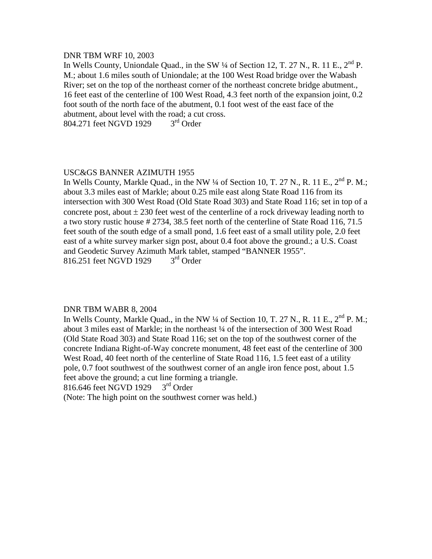#### DNR TBM WRF 10, 2003

In Wells County, Uniondale Quad., in the SW  $\frac{1}{4}$  of Section 12, T. 27 N., R. 11 E.,  $2^{nd}$  P. M.; about 1.6 miles south of Uniondale; at the 100 West Road bridge over the Wabash River; set on the top of the northeast corner of the northeast concrete bridge abutment., 16 feet east of the centerline of 100 West Road, 4.3 feet north of the expansion joint, 0.2 foot south of the north face of the abutment, 0.1 foot west of the east face of the abutment, about level with the road; a cut cross.<br>804.271 feet NGVD 1929  $3<sup>rd</sup>$  Order 804.271 feet NGVD 1929

# USC&GS BANNER AZIMUTH 1955

In Wells County, Markle Quad., in the NW  $\frac{1}{4}$  of Section 10, T. 27 N., R. 11 E.,  $2^{nd}$  P. M.; about 3.3 miles east of Markle; about 0.25 mile east along State Road 116 from its intersection with 300 West Road (Old State Road 303) and State Road 116; set in top of a concrete post, about  $\pm 230$  feet west of the centerline of a rock driveway leading north to a two story rustic house # 2734, 38.5 feet north of the centerline of State Road 116, 71.5 feet south of the south edge of a small pond, 1.6 feet east of a small utility pole, 2.0 feet east of a white survey marker sign post, about 0.4 foot above the ground.; a U.S. Coast and Geodetic Survey Azimuth Mark tablet, stamped "BANNER 1955".<br>816.251 feet NGVD 1929  $3<sup>rd</sup>$  Order 816.251 feet NGVD 1929

#### DNR TBM WABR 8, 2004

In Wells County, Markle Quad., in the NW  $\frac{1}{4}$  of Section 10, T. 27 N., R. 11 E.,  $2^{nd}$  P. M.; about 3 miles east of Markle; in the northeast ¼ of the intersection of 300 West Road (Old State Road 303) and State Road 116; set on the top of the southwest corner of the concrete Indiana Right-of-Way concrete monument, 48 feet east of the centerline of 300 West Road, 40 feet north of the centerline of State Road 116, 1.5 feet east of a utility pole, 0.7 foot southwest of the southwest corner of an angle iron fence post, about 1.5 feet above the ground; a cut line forming a triangle.<br>816.646 feet NGVD 1929  $3<sup>rd</sup>$  Order

816.646 feet NGVD 1929

(Note: The high point on the southwest corner was held.)